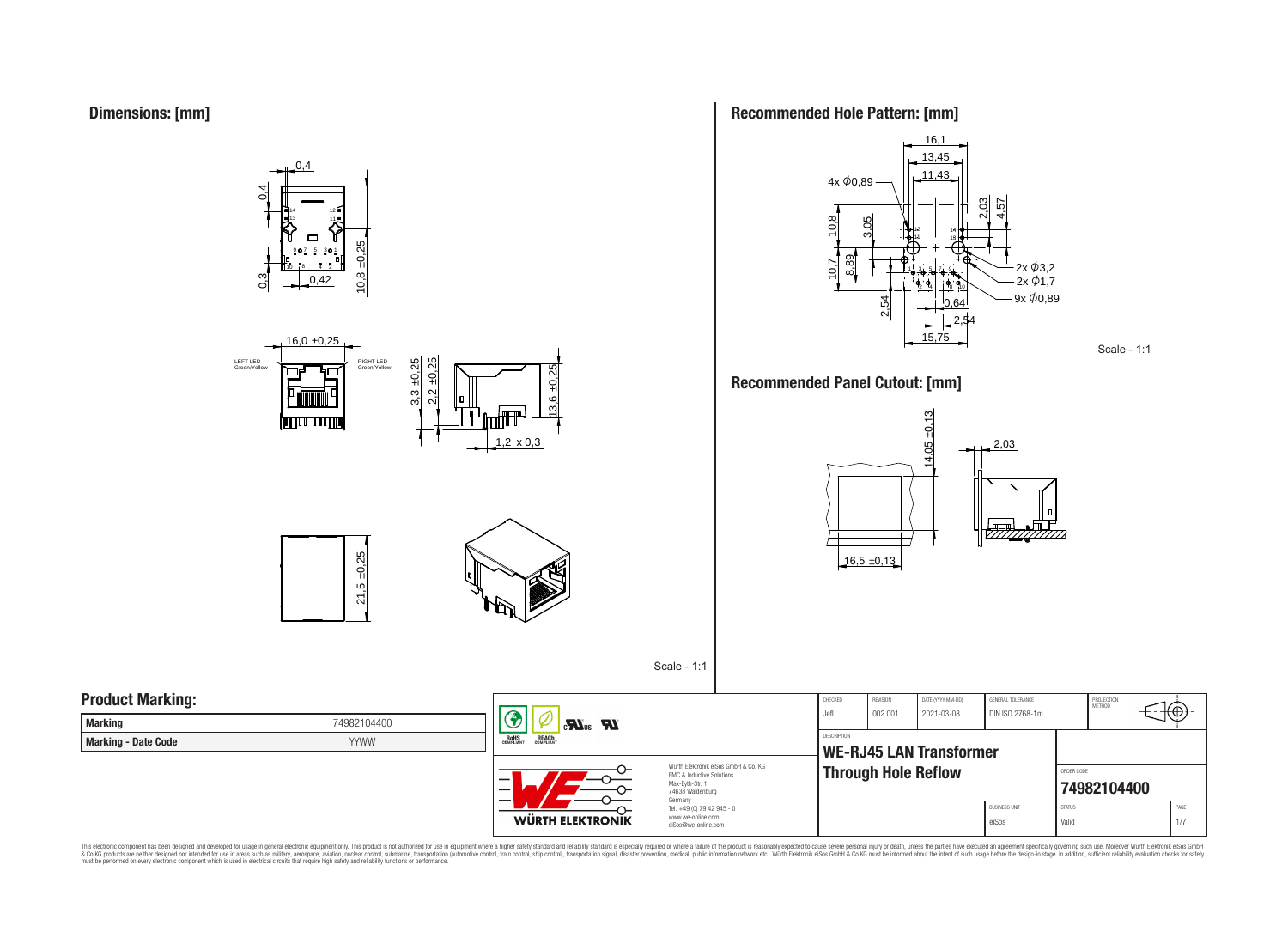**Dimensions: [mm]**









 $| \circledast$ 

## **Recommended Hole Pattern: [mm]**



### **Recommended Panel Cutout: [mm]**



Scale - 1:1

## **Product Marking:**

| <b>Marking</b>      | 74982104400 |  |  |  |  |  |
|---------------------|-------------|--|--|--|--|--|
| Marking - Date Code | YYWW        |  |  |  |  |  |



REACH

 $\mathbf{R}$  and  $\mathbf{R}$ 

Würth Elektronik eiSos GmbH & Co. KG EMC & Inductive Solutions Max-Eyth-Str. 1 74638 Waldenburg Germany Tel. +49 (0) 79 42 945 - 0 www.we-online.com eiSos@we-online.com

| CHECKED<br>Jefl.   | <b>REVISION</b><br>002.001 | DATE (YYYY-MM-DD)<br>2021-03-08 | GENERAL TOLERANCE<br>DIN ISO 2768-1m |                           | PROJECTION<br>MFTHOD |  |      |
|--------------------|----------------------------|---------------------------------|--------------------------------------|---------------------------|----------------------|--|------|
| <b>DESCRIPTION</b> | <b>Through Hole Reflow</b> | <b>WE-RJ45 LAN Transformer</b>  |                                      | ORDER CODE<br>74982104400 |                      |  |      |
|                    |                            |                                 | <b>BLISINESS LINIT</b>               | <b>STATUS</b>             |                      |  | PAGE |
|                    |                            |                                 | eiSos                                | Valid                     |                      |  | 1/7  |

Scale - 1:1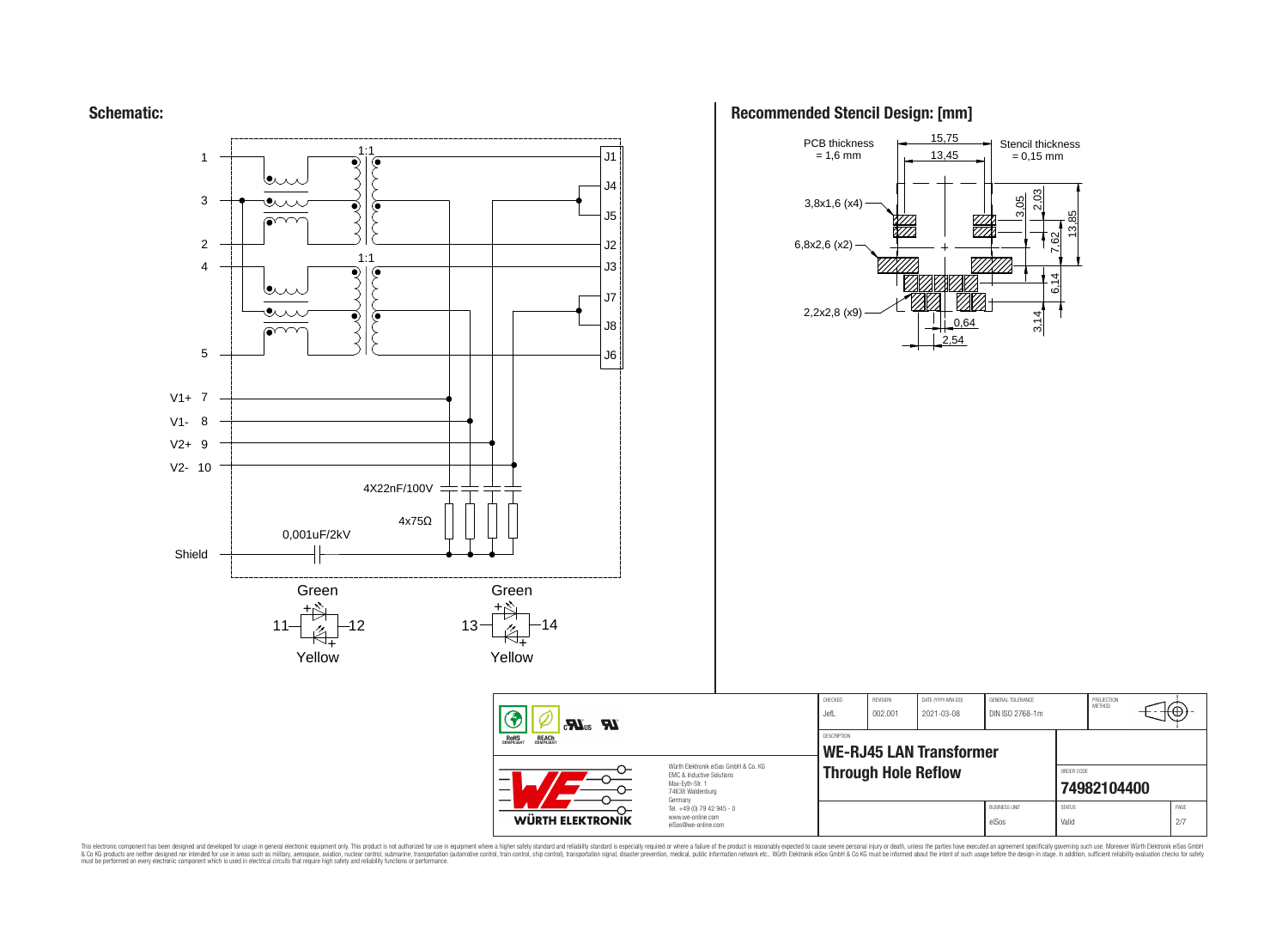**Schematic:**



## **Recommended Stencil Design: [mm]**



CHECKED REVISION DATE (YYYY-MM-DD) GENERAL TOLERANCE

**WE-RJ45 LAN Transformer**

DESCRIPTION

JefL 002.001 2021-03-08 DIN ISO 2768-1m

**Through Hole Reflow** 

PROJECTION<br>METHOD

⊛

**[74982104400](https://www.we-online.com/catalog/en/article/74982104400)** BUSINESS UNIT STATUS STATUS PAGE eiSos Valid 2/7

This electronic component has been designed and developed for usage in general electronic equipment only. This product is not authorized for subserved requipment where a higher selection equipment where a higher selection

**WÜRTH ELEKTRONIK** 

www.we-online.com eiSos@we-online.com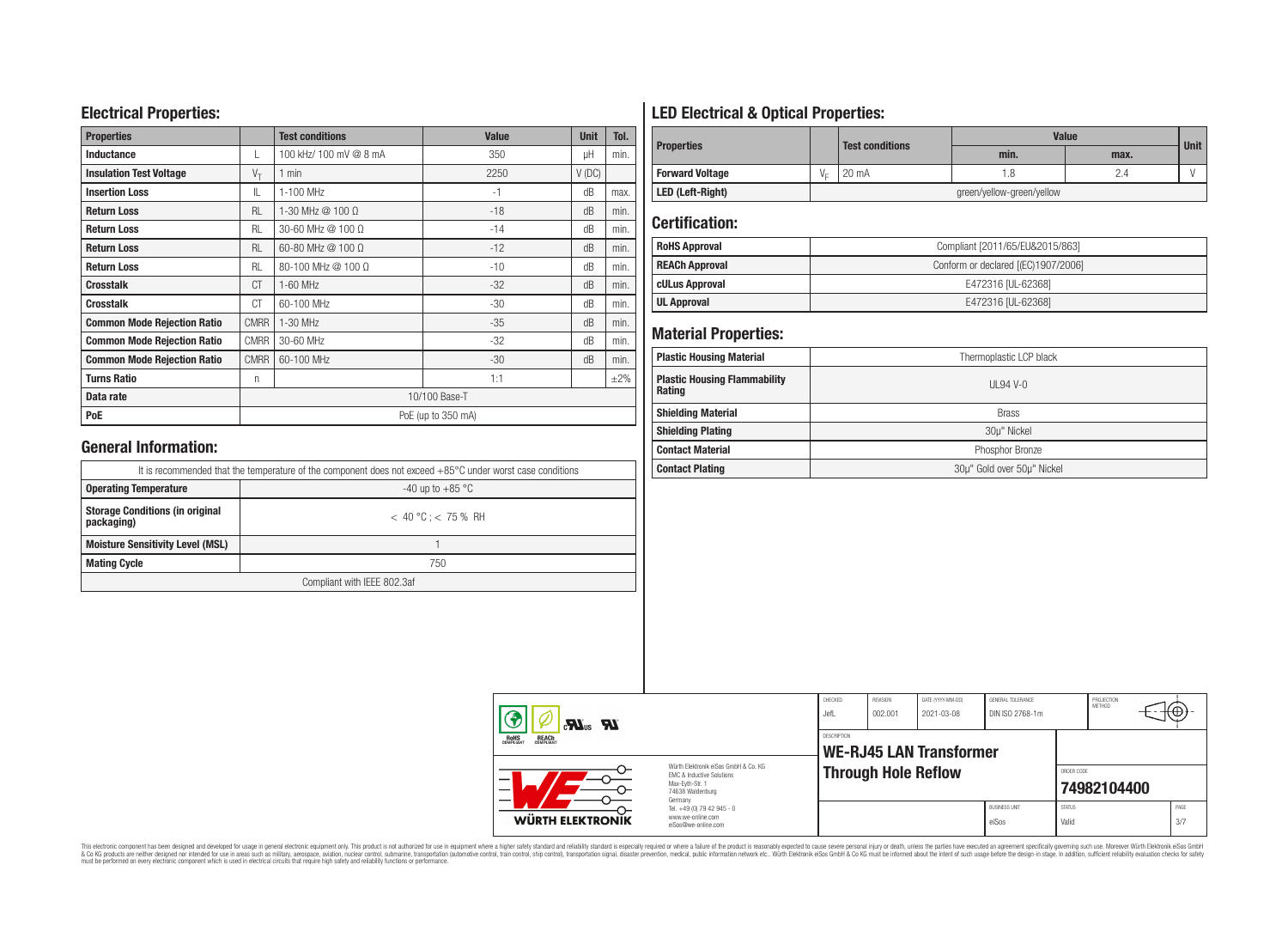## **Electrical Properties:**

| <b>Properties</b>                  |             | <b>Test conditions</b>     | <b>Value</b>       | <b>Unit</b> | Tol.      |
|------------------------------------|-------------|----------------------------|--------------------|-------------|-----------|
| <b>Inductance</b>                  |             | 100 kHz/ 100 mV @ 8 mA     | 350                | uН          | min.      |
| <b>Insulation Test Voltage</b>     | $V_{\tau}$  | $1$ min                    | 2250               | $V$ (DC)    |           |
| <b>Insertion Loss</b>              | IL          | 1-100 MHz<br>$-1$          |                    | dB          | max.      |
| <b>Return Loss</b>                 | <b>RL</b>   | 1-30 MHz $@$ 100 $\Omega$  | $-18$              | dB          | min.      |
| <b>Return Loss</b>                 | <b>RL</b>   | 30-60 MHz @ 100 Ω          | $-14$              | dB          | min.      |
| <b>Return Loss</b>                 | <b>RL</b>   | 60-80 MHz $@$ 100 $\Omega$ | $-12$              | dB          | min.      |
| <b>Return Loss</b>                 | <b>RL</b>   | $80-100$ MHz $@100$ Ω      | $-10$              | dB          | min.      |
| <b>Crosstalk</b>                   | CT          | 1-60 MHz                   | $-32$              | dB          | min.      |
| <b>Crosstalk</b>                   | CT          | 60-100 MHz                 | $-30$              | dB          | min.      |
| <b>Common Mode Rejection Ratio</b> | <b>CMRR</b> | 1-30 MHz                   | $-35$<br>dB        |             | min.      |
| <b>Common Mode Rejection Ratio</b> | <b>CMRR</b> | 30-60 MHz                  | $-32$              | dB          | min.      |
| <b>Common Mode Rejection Ratio</b> | <b>CMRR</b> | 60-100 MHz                 | $-30$              | dB          | min.      |
| <b>Turns Ratio</b>                 | n           |                            | 1:1                |             | $\pm 2\%$ |
| Data rate                          |             |                            | 10/100 Base-T      |             |           |
| PoE                                |             |                            | PoE (up to 350 mA) |             |           |

## **General Information:**

| It is recommended that the temperature of the component does not exceed +85°C under worst case conditions |                           |  |  |  |  |
|-----------------------------------------------------------------------------------------------------------|---------------------------|--|--|--|--|
| <b>Operating Temperature</b>                                                                              | -40 up to $+85\text{ °C}$ |  |  |  |  |
| <b>Storage Conditions (in original</b><br>packaging)                                                      | $< 40 °C$ : $< 75 %$ RH   |  |  |  |  |
| <b>Moisture Sensitivity Level (MSL)</b>                                                                   |                           |  |  |  |  |
| <b>Mating Cycle</b>                                                                                       | 750                       |  |  |  |  |
| Compliant with IEEE 802.3af                                                                               |                           |  |  |  |  |

## **LED Electrical & Optical Properties:**

|                        |                           | <b>Test conditions</b> | Value |      |             |  |
|------------------------|---------------------------|------------------------|-------|------|-------------|--|
| <b>Properties</b>      |                           |                        | min.  | max. | <b>Unit</b> |  |
| <b>Forward Voltage</b> | $V_{r}$                   | 20 mA                  |       | 2.4  |             |  |
| LED (Left-Right)       | green/yellow-green/yellow |                        |       |      |             |  |

## **Certification:**

| <b>RoHS Approval</b>  | Compliant [2011/65/EU&2015/863]     |
|-----------------------|-------------------------------------|
| <b>REACh Approval</b> | Conform or declared [(EC)1907/2006] |
| cULus Approval        | E472316 [UL-62368]                  |
| <b>UL Approval</b>    | E472316 [UL-62368]                  |

### **Material Properties:**

| <b>Plastic Housing Material</b>               | Thermoplastic LCP black    |  |  |  |  |  |
|-----------------------------------------------|----------------------------|--|--|--|--|--|
| <b>Plastic Housing Flammability</b><br>Rating | UL94 V- $\alpha$           |  |  |  |  |  |
| <b>Shielding Material</b>                     | <b>Brass</b>               |  |  |  |  |  |
| <b>Shielding Plating</b>                      | 30µ" Nickel                |  |  |  |  |  |
| <b>Contact Material</b>                       | Phosphor Bronze            |  |  |  |  |  |
| <b>Contact Plating</b>                        | 30µ" Gold over 50µ" Nickel |  |  |  |  |  |

| $\mathbf{M}^{\text{us}}$ $\mathbf{M}$<br><b>ROHS</b><br>COMPLIANT<br><b>REACH</b><br>COMPLIANT<br>Würth Elektronik eiSos GmbH & Co. KG<br>EMC & Inductive Solutions<br>Max-Eyth-Str. 1<br>74638 Waldenburg |                                                                                   | CHECKED<br>JefL    | REVISION<br>DATE (YYYY-MM-DD)<br>GENERAL TOLERANCE<br>DIN ISO 2768-1m<br>002.001<br>2021-03-08 |  |                               |                        | PROJECTION<br>METHOD<br>w |  |             |
|------------------------------------------------------------------------------------------------------------------------------------------------------------------------------------------------------------|-----------------------------------------------------------------------------------|--------------------|------------------------------------------------------------------------------------------------|--|-------------------------------|------------------------|---------------------------|--|-------------|
|                                                                                                                                                                                                            |                                                                                   | <b>DESCRIPTION</b> | <b>WE-RJ45 LAN Transformer</b>                                                                 |  |                               |                        |                           |  |             |
|                                                                                                                                                                                                            |                                                                                   |                    | <b>Through Hole Reflow</b>                                                                     |  |                               | ORDER CODE             | 74982104400               |  |             |
| WÜRTH ELEKTRONIK                                                                                                                                                                                           | Germany<br>Tel. +49 (0) 79 42 945 - 0<br>www.we-online.com<br>eiSos@we-online.com |                    |                                                                                                |  | <b>BUSINESS UNIT</b><br>eiSos | <b>STATUS</b><br>Valid |                           |  | PAGE<br>3/7 |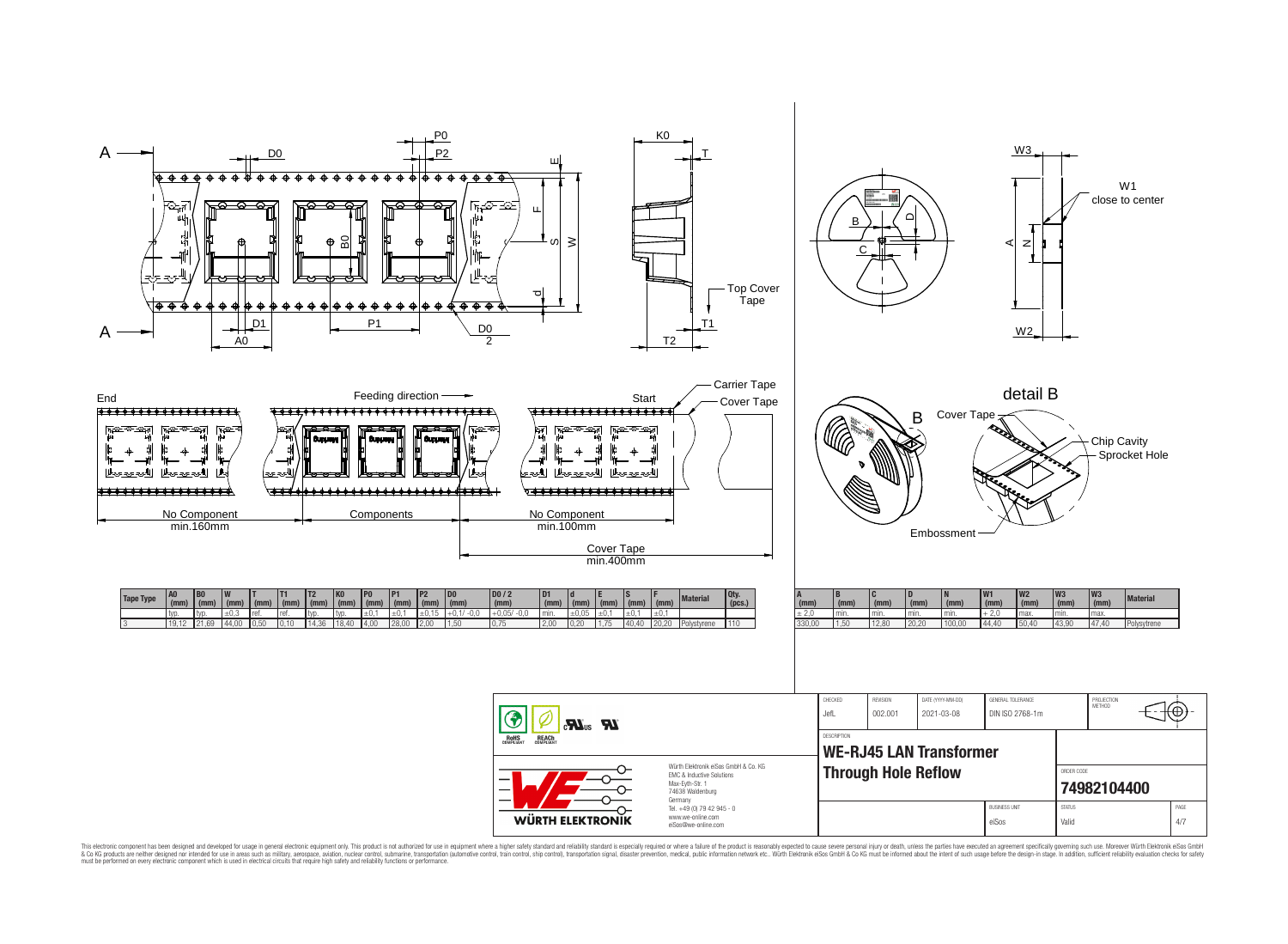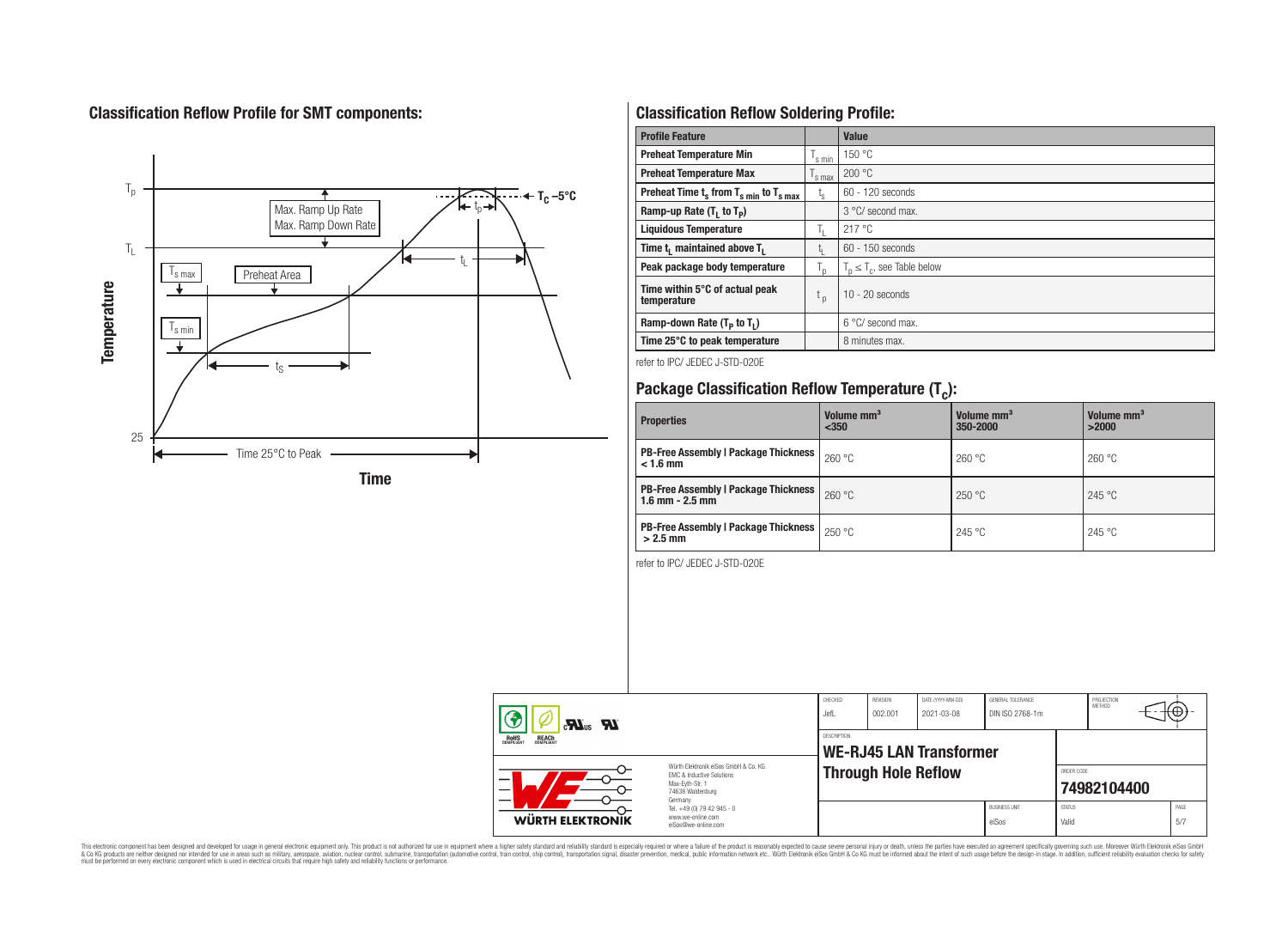## **Classification Reflow Profile for SMT components:**



## **Classification Reflow Soldering Profile:**

| <b>Profile Feature</b>                              |                    | Value                            |
|-----------------------------------------------------|--------------------|----------------------------------|
| <b>Preheat Temperature Min</b>                      | 's min             | 150 °C                           |
| <b>Preheat Temperature Max</b>                      | <sup>I</sup> s max | 200 °C                           |
| Preheat Time $t_s$ from $T_{s min}$ to $T_{s max}$  | t <sub>s</sub>     | $60 - 120$ seconds               |
| Ramp-up Rate $(T_1$ to $T_p$ )                      |                    | 3 °C/ second max.                |
| <b>Liquidous Temperature</b>                        | Îτ.                | 217 °C                           |
| Time t <sub>1</sub> maintained above T <sub>1</sub> | L۱.                | $60 - 150$ seconds               |
| Peak package body temperature                       | $T_{\sf p}$        | $T_n \leq T_c$ , see Table below |
| Time within 5°C of actual peak<br>temperature       | $t_{p}$            | $10 - 20$ seconds                |
| Ramp-down Rate $(T_P$ to $T_I$ )                    |                    | 6 °C/ second max.                |
| Time 25°C to peak temperature                       |                    | 8 minutes max.                   |

refer to IPC/ JEDEC J-STD-020E

# **Package Classification Reflow Temperature (T<sup>c</sup> ):**

| <b>Properties</b>                                                    | Volume mm <sup>3</sup><br>$350$ | Volume mm <sup>3</sup><br>350-2000 | Volume mm <sup>3</sup><br>>2000 |
|----------------------------------------------------------------------|---------------------------------|------------------------------------|---------------------------------|
| <b>PB-Free Assembly   Package Thickness</b><br>$< 1.6$ mm            | 260 °C                          | 260 °C                             | 260 °C                          |
| <b>PB-Free Assembly   Package Thickness  </b><br>$1.6$ mm $- 2.5$ mm | 260 °C                          | 250 °C                             | 245 °C                          |
| <b>PB-Free Assembly   Package Thickness  </b><br>$>2.5$ mm           | 250 °C                          | 245 °C                             | 245 °C                          |

refer to IPC/ JEDEC J-STD-020E

| $\boldsymbol{\mathcal{H}}$ <sub>us</sub> $\boldsymbol{\mathcal{H}}$<br><b>ROHS</b><br><b>REACH</b><br>COMPLIANT<br>Würth Elektronik eiSos GmbH & Co. KG<br>EMC & Inductive Solutions<br>_<br>Max-Eyth-Str. 1<br>74638 Waldenburg |                                                                                   | CHECKED<br>JefL | <b>REVISION</b><br>DATE (YYYY-MM-DD)<br>GENERAL TOLERANCE<br>DIN ISO 2768-1m<br>002.001<br>2021-03-08 |  |                               |                        | PROJECTION<br><b>METHOD</b><br>᠇ᡕ᠊ᡃᡋ᠍ |  |             |
|----------------------------------------------------------------------------------------------------------------------------------------------------------------------------------------------------------------------------------|-----------------------------------------------------------------------------------|-----------------|-------------------------------------------------------------------------------------------------------|--|-------------------------------|------------------------|---------------------------------------|--|-------------|
|                                                                                                                                                                                                                                  |                                                                                   | DESCRIPTION     | WE-RJ45 LAN Transformer                                                                               |  |                               |                        |                                       |  |             |
|                                                                                                                                                                                                                                  |                                                                                   |                 | <b>Through Hole Reflow</b>                                                                            |  |                               |                        | ORDER CODE<br>74982104400             |  |             |
| <b>WÜRTH ELEKTRONIK</b>                                                                                                                                                                                                          | Germany<br>Tel. +49 (0) 79 42 945 - 0<br>www.we-online.com<br>eiSos@we-online.com |                 |                                                                                                       |  | <b>BUSINESS UNIT</b><br>eiSos | <b>STATUS</b><br>Valid |                                       |  | PAGE<br>5/7 |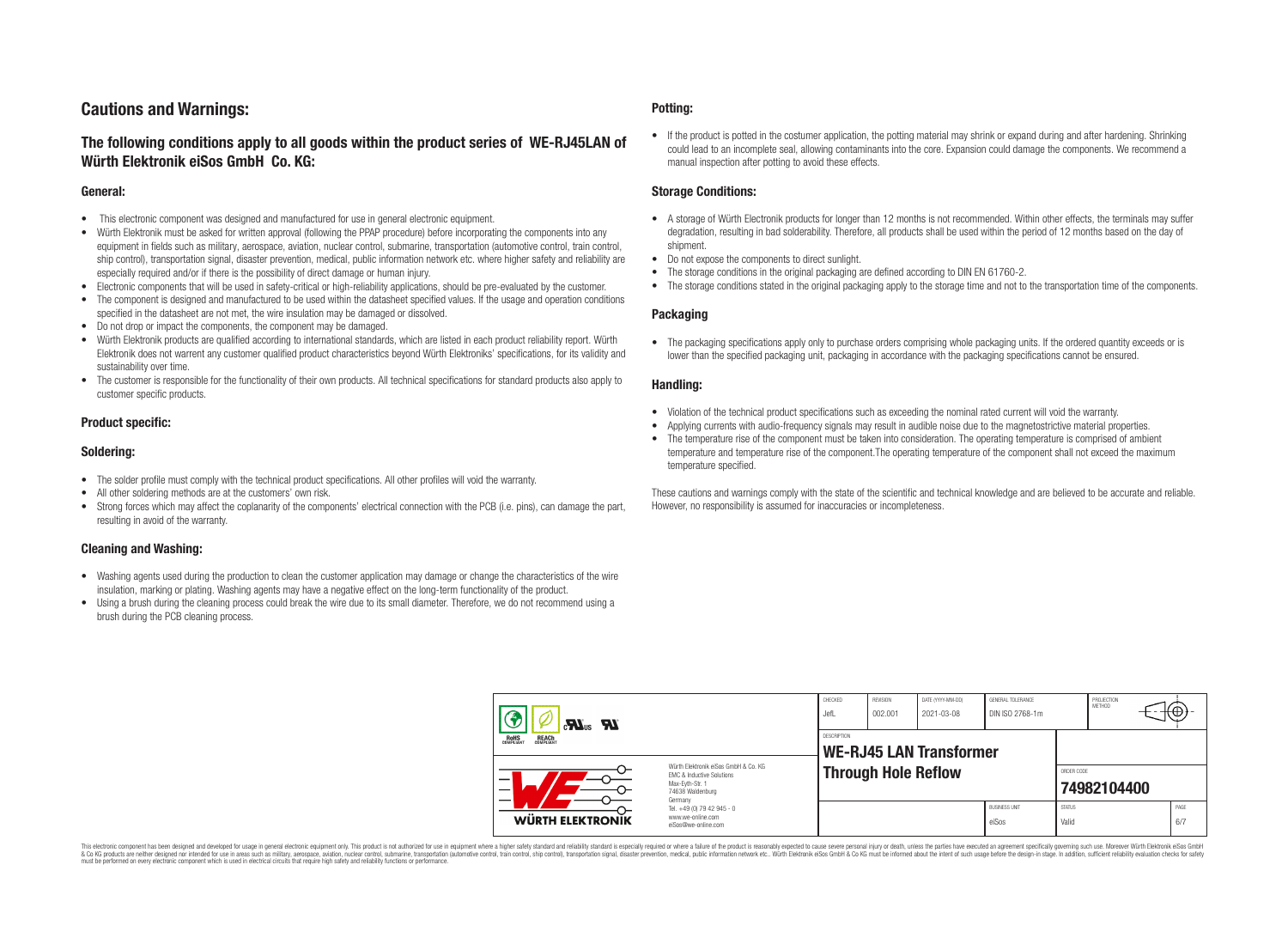## **Cautions and Warnings:**

## **The following conditions apply to all goods within the product series of WE-RJ45LAN of Würth Elektronik eiSos GmbH Co. KG:**

#### **General:**

- This electronic component was designed and manufactured for use in general electronic equipment.
- Würth Elektronik must be asked for written approval (following the PPAP procedure) before incorporating the components into any equipment in fields such as military, aerospace, aviation, nuclear control, submarine, transportation (automotive control, train control, ship control), transportation signal, disaster prevention, medical, public information network etc. where higher safety and reliability are especially required and/or if there is the possibility of direct damage or human injury.
- Electronic components that will be used in safety-critical or high-reliability applications, should be pre-evaluated by the customer.
- The component is designed and manufactured to be used within the datasheet specified values. If the usage and operation conditions specified in the datasheet are not met, the wire insulation may be damaged or dissolved.
- Do not drop or impact the components, the component may be damaged.
- Würth Elektronik products are qualified according to international standards, which are listed in each product reliability report. Würth Elektronik does not warrent any customer qualified product characteristics beyond Würth Elektroniks' specifications, for its validity and sustainability over time.
- The customer is responsible for the functionality of their own products. All technical specifications for standard products also apply to customer specific products.

#### **Product specific:**

#### **Soldering:**

- The solder profile must comply with the technical product specifications. All other profiles will void the warranty.
- All other soldering methods are at the customers' own risk.
- Strong forces which may affect the coplanarity of the components' electrical connection with the PCB (i.e. pins), can damage the part, resulting in avoid of the warranty.

#### **Cleaning and Washing:**

- Washing agents used during the production to clean the customer application may damage or change the characteristics of the wire insulation, marking or plating. Washing agents may have a negative effect on the long-term functionality of the product.
- Using a brush during the cleaning process could break the wire due to its small diameter. Therefore, we do not recommend using a brush during the PCB cleaning process.

#### **Potting:**

• If the product is potted in the costumer application, the potting material may shrink or expand during and after hardening. Shrinking could lead to an incomplete seal, allowing contaminants into the core. Expansion could damage the components. We recommend a manual inspection after potting to avoid these effects.

#### **Storage Conditions:**

- A storage of Würth Electronik products for longer than 12 months is not recommended. Within other effects, the terminals may suffer degradation, resulting in bad solderability. Therefore, all products shall be used within the period of 12 months based on the day of shipment.
- Do not expose the components to direct sunlight.
- The storage conditions in the original packaging are defined according to DIN EN 61760-2.
- The storage conditions stated in the original packaging apply to the storage time and not to the transportation time of the components.

#### **Packaging**

• The packaging specifications apply only to purchase orders comprising whole packaging units. If the ordered quantity exceeds or is lower than the specified packaging unit, packaging in accordance with the packaging specifications cannot be ensured.

#### **Handling:**

- Violation of the technical product specifications such as exceeding the nominal rated current will void the warranty.
- Applying currents with audio-frequency signals may result in audible noise due to the magnetostrictive material properties.
- The temperature rise of the component must be taken into consideration. The operating temperature is comprised of ambient temperature and temperature rise of the component.The operating temperature of the component shall not exceed the maximum temperature specified.

These cautions and warnings comply with the state of the scientific and technical knowledge and are believed to be accurate and reliable. However, no responsibility is assumed for inaccuracies or incompleteness.

| $\mathbf{M}^{\text{us}}$ $\mathbf{M}$<br><b>REACH</b><br>COMPLIANT<br><b>ROHS</b><br>COMPLIANT<br>Würth Elektronik eiSos GmbH & Co. KG<br>FMC & Inductive Solutions<br>Max-Evth-Str. 1<br>74638 Waldenburg |                                                                                   | REVISION<br>DATE (YYYY-MM-DD)<br>CHECKED<br><b>GENERAL TOLERANCE</b><br>002.001<br>DIN ISO 2768-1m<br>2021-03-08<br>JefL |                            |  |                               |                        | PROJECTION<br>METHOD | ⊬⊕          |
|------------------------------------------------------------------------------------------------------------------------------------------------------------------------------------------------------------|-----------------------------------------------------------------------------------|--------------------------------------------------------------------------------------------------------------------------|----------------------------|--|-------------------------------|------------------------|----------------------|-------------|
|                                                                                                                                                                                                            |                                                                                   | DESCRIPTION<br><b>WE-RJ45 LAN Transformer</b>                                                                            |                            |  |                               |                        |                      |             |
|                                                                                                                                                                                                            |                                                                                   |                                                                                                                          | <b>Through Hole Reflow</b> |  |                               | ORDER CODE             | 74982104400          |             |
| WÜRTH ELEKTRONIK                                                                                                                                                                                           | Germany<br>Tel. +49 (0) 79 42 945 - 0<br>www.we-online.com<br>eiSos@we-online.com |                                                                                                                          |                            |  | <b>BUSINESS UNIT</b><br>eiSos | <b>STATUS</b><br>Valid |                      | PAGE<br>6/7 |

This electronic component has been designed and developed for usage in general electronic equipment only. This product is not authorized for use in equipment where a higher safety standard and reliability standard si espec & Ook product a label and the membed of the seasuch as marked and as which such a membed and the such assume that income in the seasuch and the simulation and the such assume that include to the such a membed and the such